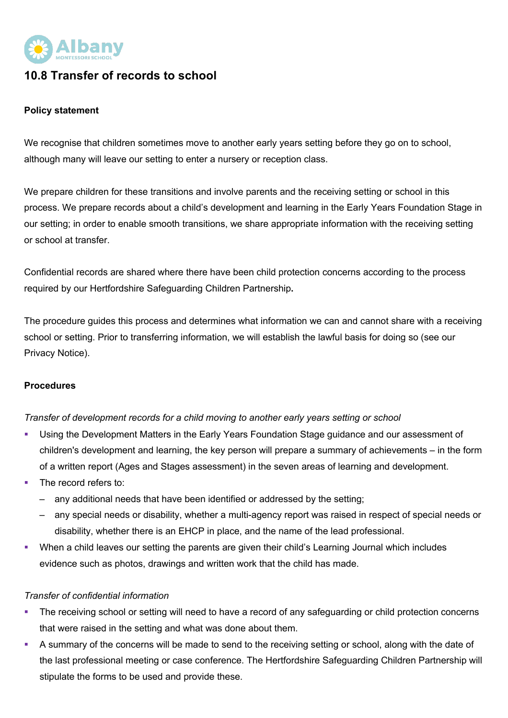

## **10.8 Transfer of records to school**

## **Policy statement**

We recognise that children sometimes move to another early years setting before they go on to school, although many will leave our setting to enter a nursery or reception class.

We prepare children for these transitions and involve parents and the receiving setting or school in this process. We prepare records about a child's development and learning in the Early Years Foundation Stage in our setting; in order to enable smooth transitions, we share appropriate information with the receiving setting or school at transfer.

Confidential records are shared where there have been child protection concerns according to the process required by our Hertfordshire Safeguarding Children Partnership**.**

The procedure guides this process and determines what information we can and cannot share with a receiving school or setting. Prior to transferring information, we will establish the lawful basis for doing so (see our Privacy Notice).

## **Procedures**

*Transfer of development records for a child moving to another early years setting or school*

- Using the Development Matters in the Early Years Foundation Stage guidance and our assessment of children's development and learning, the key person will prepare a summary of achievements – in the form of a written report (Ages and Stages assessment) in the seven areas of learning and development.
- The record refers to:
	- any additional needs that have been identified or addressed by the setting;
	- any special needs or disability, whether a multi-agency report was raised in respect of special needs or disability, whether there is an EHCP in place, and the name of the lead professional.
- § When a child leaves our setting the parents are given their child's Learning Journal which includes evidence such as photos, drawings and written work that the child has made.

## *Transfer of confidential information*

- The receiving school or setting will need to have a record of any safeguarding or child protection concerns that were raised in the setting and what was done about them.
- A summary of the concerns will be made to send to the receiving setting or school, along with the date of the last professional meeting or case conference. The Hertfordshire Safeguarding Children Partnership will stipulate the forms to be used and provide these.